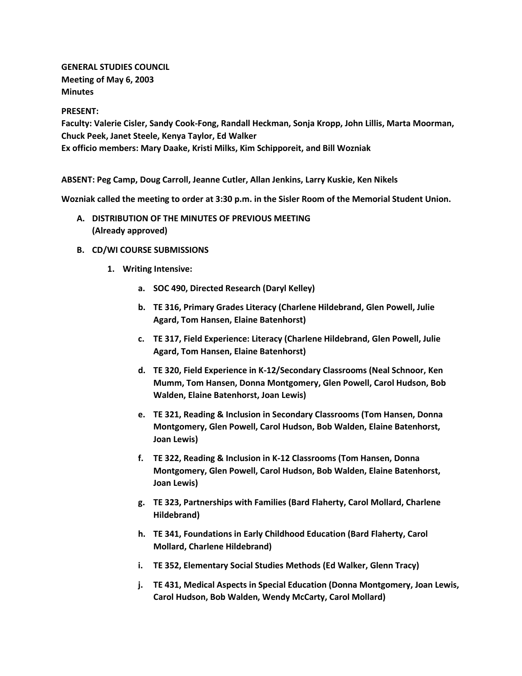**GENERAL STUDIES COUNCIL Meeting of May 6, 2003 Minutes**

#### **PRESENT:**

**Faculty: Valerie Cisler, Sandy Cook-Fong, Randall Heckman, Sonja Kropp, John Lillis, Marta Moorman, Chuck Peek, Janet Steele, Kenya Taylor, Ed Walker Ex officio members: Mary Daake, Kristi Milks, Kim Schipporeit, and Bill Wozniak**

**ABSENT: Peg Camp, Doug Carroll, Jeanne Cutler, Allan Jenkins, Larry Kuskie, Ken Nikels**

**Wozniak called the meeting to order at 3:30 p.m. in the Sisler Room of the Memorial Student Union.**

- **A. DISTRIBUTION OF THE MINUTES OF PREVIOUS MEETING (Already approved)**
- **B. CD/WI COURSE SUBMISSIONS**
	- **1. Writing Intensive:** 
		- **a. SOC 490, Directed Research (Daryl Kelley)**
		- **b. TE 316, Primary Grades Literacy (Charlene Hildebrand, Glen Powell, Julie Agard, Tom Hansen, Elaine Batenhorst)**
		- **c. TE 317, Field Experience: Literacy (Charlene Hildebrand, Glen Powell, Julie Agard, Tom Hansen, Elaine Batenhorst)**
		- **d. TE 320, Field Experience in K-12/Secondary Classrooms (Neal Schnoor, Ken Mumm, Tom Hansen, Donna Montgomery, Glen Powell, Carol Hudson, Bob Walden, Elaine Batenhorst, Joan Lewis)**
		- **e. TE 321, Reading & Inclusion in Secondary Classrooms (Tom Hansen, Donna Montgomery, Glen Powell, Carol Hudson, Bob Walden, Elaine Batenhorst, Joan Lewis)**
		- **f. TE 322, Reading & Inclusion in K-12 Classrooms (Tom Hansen, Donna Montgomery, Glen Powell, Carol Hudson, Bob Walden, Elaine Batenhorst, Joan Lewis)**
		- **g. TE 323, Partnerships with Families (Bard Flaherty, Carol Mollard, Charlene Hildebrand)**
		- **h. TE 341, Foundations in Early Childhood Education (Bard Flaherty, Carol Mollard, Charlene Hildebrand)**
		- **i. TE 352, Elementary Social Studies Methods (Ed Walker, Glenn Tracy)**
		- **j. TE 431, Medical Aspects in Special Education (Donna Montgomery, Joan Lewis, Carol Hudson, Bob Walden, Wendy McCarty, Carol Mollard)**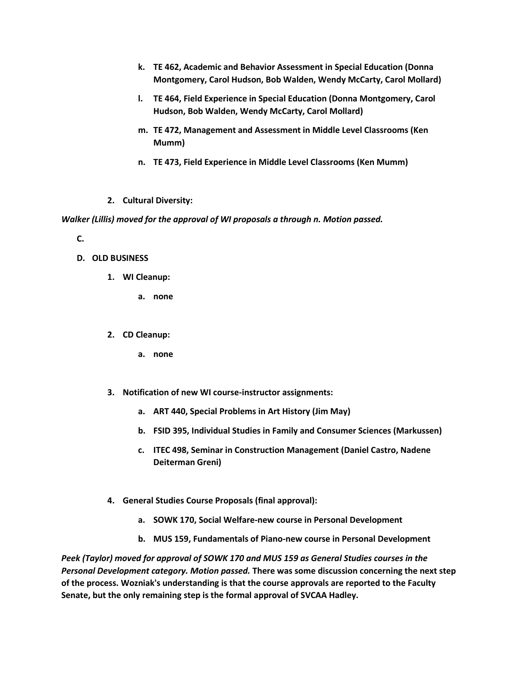- **k. TE 462, Academic and Behavior Assessment in Special Education (Donna Montgomery, Carol Hudson, Bob Walden, Wendy McCarty, Carol Mollard)**
- **l. TE 464, Field Experience in Special Education (Donna Montgomery, Carol Hudson, Bob Walden, Wendy McCarty, Carol Mollard)**
- **m. TE 472, Management and Assessment in Middle Level Classrooms (Ken Mumm)**
- **n. TE 473, Field Experience in Middle Level Classrooms (Ken Mumm)**
- **2. Cultural Diversity:**

*Walker (Lillis) moved for the approval of WI proposals a through n. Motion passed.*

**C.**

- **D. OLD BUSINESS**
	- **1. WI Cleanup:** 
		- **a. none**
	- **2. CD Cleanup:** 
		- **a. none**
	- **3. Notification of new WI course-instructor assignments:** 
		- **a. ART 440, Special Problems in Art History (Jim May)**
		- **b. FSID 395, Individual Studies in Family and Consumer Sciences (Markussen)**
		- **c. ITEC 498, Seminar in Construction Management (Daniel Castro, Nadene Deiterman Greni)**
	- **4. General Studies Course Proposals (final approval):**
		- **a. SOWK 170, Social Welfare-new course in Personal Development**
		- **b. MUS 159, Fundamentals of Piano-new course in Personal Development**

*Peek (Taylor) moved for approval of SOWK 170 and MUS 159 as General Studies courses in the Personal Development category. Motion passed.* **There was some discussion concerning the next step of the process. Wozniak's understanding is that the course approvals are reported to the Faculty Senate, but the only remaining step is the formal approval of SVCAA Hadley.**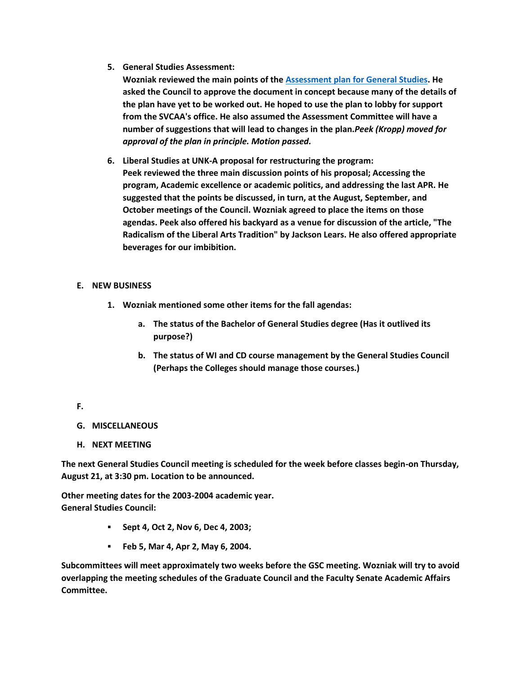**5. General Studies Assessment:**

**Wozniak reviewed the main points of the [Assessment plan for General Studies.](http://www.unk.edu/academicaffairs/generalstudies/index.php?id=3867) He asked the Council to approve the document in concept because many of the details of the plan have yet to be worked out. He hoped to use the plan to lobby for support from the SVCAA's office. He also assumed the Assessment Committee will have a number of suggestions that will lead to changes in the plan.***Peek (Kropp) moved for approval of the plan in principle. Motion passed.*

**6. Liberal Studies at UNK-A proposal for restructuring the program: Peek reviewed the three main discussion points of his proposal; Accessing the program, Academic excellence or academic politics, and addressing the last APR. He suggested that the points be discussed, in turn, at the August, September, and October meetings of the Council. Wozniak agreed to place the items on those agendas. Peek also offered his backyard as a venue for discussion of the article, "The Radicalism of the Liberal Arts Tradition" by Jackson Lears. He also offered appropriate beverages for our imbibition.**

# **E. NEW BUSINESS**

- **1. Wozniak mentioned some other items for the fall agendas:** 
	- **a. The status of the Bachelor of General Studies degree (Has it outlived its purpose?)**
	- **b. The status of WI and CD course management by the General Studies Council (Perhaps the Colleges should manage those courses.)**

# **F.**

- **G. MISCELLANEOUS**
- **H. NEXT MEETING**

**The next General Studies Council meeting is scheduled for the week before classes begin-on Thursday, August 21, at 3:30 pm. Location to be announced.**

**Other meeting dates for the 2003-2004 academic year. General Studies Council:**

- **Sept 4, Oct 2, Nov 6, Dec 4, 2003;**
- **Feb 5, Mar 4, Apr 2, May 6, 2004.**

**Subcommittees will meet approximately two weeks before the GSC meeting. Wozniak will try to avoid overlapping the meeting schedules of the Graduate Council and the Faculty Senate Academic Affairs Committee.**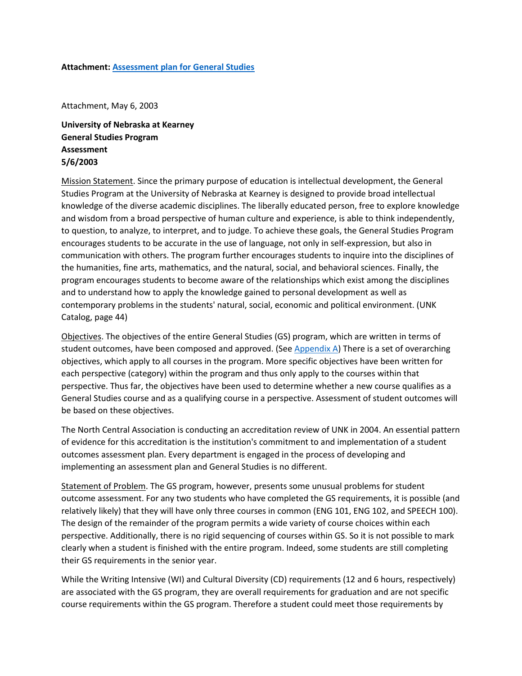#### **Attachment: [Assessment plan for General Studies](http://www.unk.edu/academicaffairs/generalstudies/index.php?id=3867)**

Attachment, May 6, 2003

**University of Nebraska at Kearney General Studies Program Assessment 5/6/2003**

Mission Statement. Since the primary purpose of education is intellectual development, the General Studies Program at the University of Nebraska at Kearney is designed to provide broad intellectual knowledge of the diverse academic disciplines. The liberally educated person, free to explore knowledge and wisdom from a broad perspective of human culture and experience, is able to think independently, to question, to analyze, to interpret, and to judge. To achieve these goals, the General Studies Program encourages students to be accurate in the use of language, not only in self-expression, but also in communication with others. The program further encourages students to inquire into the disciplines of the humanities, fine arts, mathematics, and the natural, social, and behavioral sciences. Finally, the program encourages students to become aware of the relationships which exist among the disciplines and to understand how to apply the knowledge gained to personal development as well as contemporary problems in the students' natural, social, economic and political environment. (UNK Catalog, page 44)

Objectives. The objectives of the entire General Studies (GS) program, which are written in terms of student outcomes, have been composed and approved. (See [Appendix A\)](http://www.unk.edu/academicaffairs/generalstudies.aspx?id=3867#A) There is a set of overarching objectives, which apply to all courses in the program. More specific objectives have been written for each perspective (category) within the program and thus only apply to the courses within that perspective. Thus far, the objectives have been used to determine whether a new course qualifies as a General Studies course and as a qualifying course in a perspective. Assessment of student outcomes will be based on these objectives.

The North Central Association is conducting an accreditation review of UNK in 2004. An essential pattern of evidence for this accreditation is the institution's commitment to and implementation of a student outcomes assessment plan. Every department is engaged in the process of developing and implementing an assessment plan and General Studies is no different.

Statement of Problem. The GS program, however, presents some unusual problems for student outcome assessment. For any two students who have completed the GS requirements, it is possible (and relatively likely) that they will have only three courses in common (ENG 101, ENG 102, and SPEECH 100). The design of the remainder of the program permits a wide variety of course choices within each perspective. Additionally, there is no rigid sequencing of courses within GS. So it is not possible to mark clearly when a student is finished with the entire program. Indeed, some students are still completing their GS requirements in the senior year.

While the Writing Intensive (WI) and Cultural Diversity (CD) requirements (12 and 6 hours, respectively) are associated with the GS program, they are overall requirements for graduation and are not specific course requirements within the GS program. Therefore a student could meet those requirements by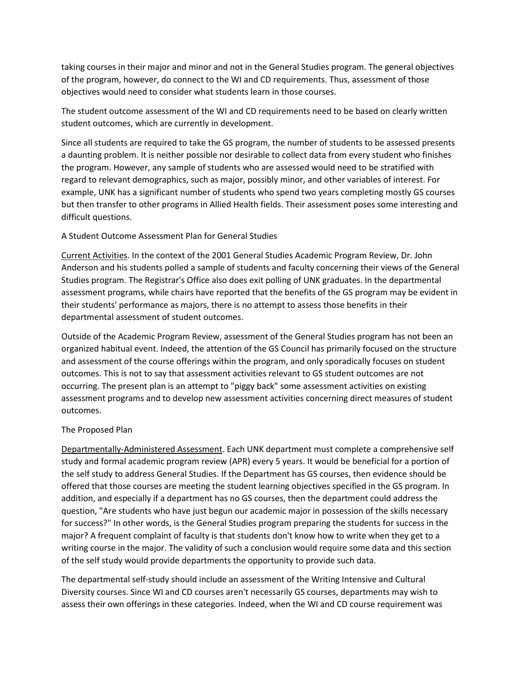taking courses in their major and minor and not in the General Studies program. The general objectives of the program, however, do connect to the WI and CD requirements. Thus, assessment of those objectives would need to consider what students learn in those courses.

The student outcome assessment of the WI and CD requirements need to be based on clearly written student outcomes, which are currently in development.

Since all students are required to take the GS program, the number of students to be assessed presents a daunting problem. It is neither possible nor desirable to collect data from every student who finishes the program. However, any sample of students who are assessed would need to be stratified with regard to relevant demographics, such as major, possibly minor, and other variables of interest. For example, UNK has a significant number of students who spend two years completing mostly GS courses but then transfer to other programs in Allied Health fields. Their assessment poses some interesting and difficult questions.

# A Student Outcome Assessment Plan for General Studies

Current Activities. In the context of the 2001 General Studies Academic Program Review, Dr. John Anderson and his students polled a sample of students and faculty concerning their views of the General Studies program. The Registrar's Office also does exit polling of UNK graduates. In the departmental assessment programs, while chairs have reported that the benefits of the GS program may be evident in their students' performance as majors, there is no attempt to assess those benefits in their departmental assessment of student outcomes.

Outside of the Academic Program Review, assessment of the General Studies program has not been an organized habitual event. Indeed, the attention of the GS Council has primarily focused on the structure and assessment of the course offerings within the program, and only sporadically focuses on student outcomes. This is not to say that assessment activities relevant to GS student outcomes are not occurring. The present plan is an attempt to "piggy back" some assessment activities on existing assessment programs and to develop new assessment activities concerning direct measures of student outcomes.

#### The Proposed Plan

Departmentally-Administered Assessment. Each UNK department must complete a comprehensive self study and formal academic program review (APR) every 5 years. It would be beneficial for a portion of the self study to address General Studies. If the Department has GS courses, then evidence should be offered that those courses are meeting the student learning objectives specified in the GS program. In addition, and especially if a department has no GS courses, then the department could address the question, "Are students who have just begun our academic major in possession of the skills necessary for success?" In other words, is the General Studies program preparing the students for success in the major? A frequent complaint of faculty is that students don't know how to write when they get to a writing course in the major. The validity of such a conclusion would require some data and this section of the self study would provide departments the opportunity to provide such data.

The departmental self-study should include an assessment of the Writing Intensive and Cultural Diversity courses. Since WI and CD courses aren't necessarily GS courses, departments may wish to assess their own offerings in these categories. Indeed, when the WI and CD course requirement was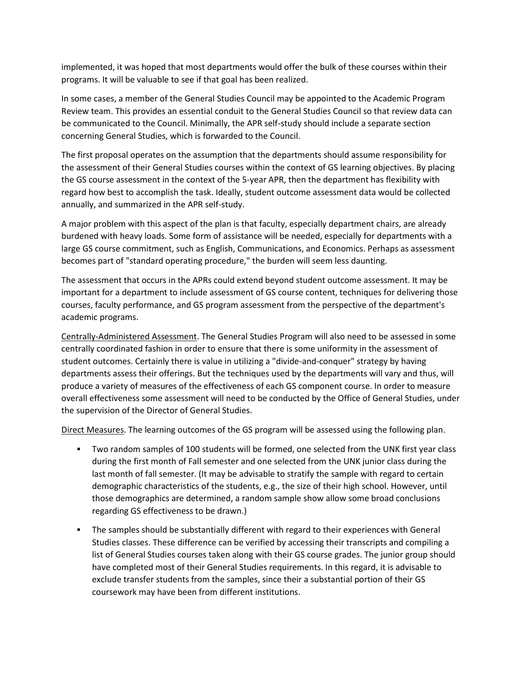implemented, it was hoped that most departments would offer the bulk of these courses within their programs. It will be valuable to see if that goal has been realized.

In some cases, a member of the General Studies Council may be appointed to the Academic Program Review team. This provides an essential conduit to the General Studies Council so that review data can be communicated to the Council. Minimally, the APR self-study should include a separate section concerning General Studies, which is forwarded to the Council.

The first proposal operates on the assumption that the departments should assume responsibility for the assessment of their General Studies courses within the context of GS learning objectives. By placing the GS course assessment in the context of the 5-year APR, then the department has flexibility with regard how best to accomplish the task. Ideally, student outcome assessment data would be collected annually, and summarized in the APR self-study.

A major problem with this aspect of the plan is that faculty, especially department chairs, are already burdened with heavy loads. Some form of assistance will be needed, especially for departments with a large GS course commitment, such as English, Communications, and Economics. Perhaps as assessment becomes part of "standard operating procedure," the burden will seem less daunting.

The assessment that occurs in the APRs could extend beyond student outcome assessment. It may be important for a department to include assessment of GS course content, techniques for delivering those courses, faculty performance, and GS program assessment from the perspective of the department's academic programs.

Centrally-Administered Assessment. The General Studies Program will also need to be assessed in some centrally coordinated fashion in order to ensure that there is some uniformity in the assessment of student outcomes. Certainly there is value in utilizing a "divide-and-conquer" strategy by having departments assess their offerings. But the techniques used by the departments will vary and thus, will produce a variety of measures of the effectiveness of each GS component course. In order to measure overall effectiveness some assessment will need to be conducted by the Office of General Studies, under the supervision of the Director of General Studies.

Direct Measures. The learning outcomes of the GS program will be assessed using the following plan.

- Two random samples of 100 students will be formed, one selected from the UNK first year class during the first month of Fall semester and one selected from the UNK junior class during the last month of fall semester. (It may be advisable to stratify the sample with regard to certain demographic characteristics of the students, e.g., the size of their high school. However, until those demographics are determined, a random sample show allow some broad conclusions regarding GS effectiveness to be drawn.)
- The samples should be substantially different with regard to their experiences with General Studies classes. These difference can be verified by accessing their transcripts and compiling a list of General Studies courses taken along with their GS course grades. The junior group should have completed most of their General Studies requirements. In this regard, it is advisable to exclude transfer students from the samples, since their a substantial portion of their GS coursework may have been from different institutions.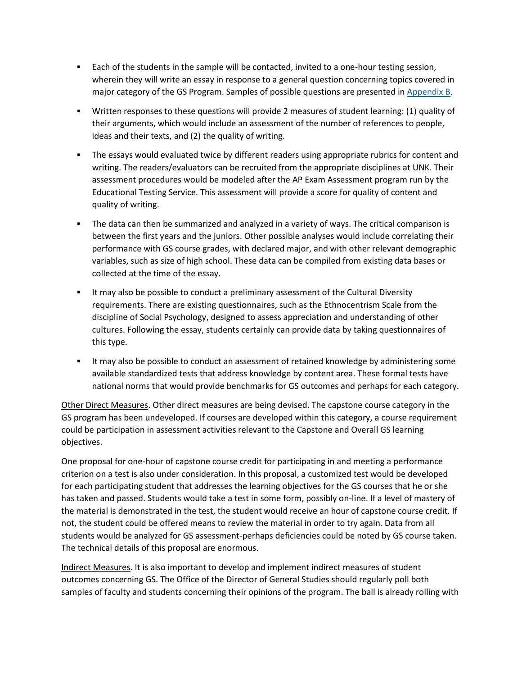- Each of the students in the sample will be contacted, invited to a one-hour testing session, wherein they will write an essay in response to a general question concerning topics covered in major category of the GS Program. Samples of possible questions are presented in [Appendix B.](http://www.unk.edu/academicaffairs/generalstudies.aspx?id=3867#B)
- Written responses to these questions will provide 2 measures of student learning: (1) quality of their arguments, which would include an assessment of the number of references to people, ideas and their texts, and (2) the quality of writing.
- **The essays would evaluated twice by different readers using appropriate rubrics for content and** writing. The readers/evaluators can be recruited from the appropriate disciplines at UNK. Their assessment procedures would be modeled after the AP Exam Assessment program run by the Educational Testing Service. This assessment will provide a score for quality of content and quality of writing.
- The data can then be summarized and analyzed in a variety of ways. The critical comparison is between the first years and the juniors. Other possible analyses would include correlating their performance with GS course grades, with declared major, and with other relevant demographic variables, such as size of high school. These data can be compiled from existing data bases or collected at the time of the essay.
- It may also be possible to conduct a preliminary assessment of the Cultural Diversity requirements. There are existing questionnaires, such as the Ethnocentrism Scale from the discipline of Social Psychology, designed to assess appreciation and understanding of other cultures. Following the essay, students certainly can provide data by taking questionnaires of this type.
- It may also be possible to conduct an assessment of retained knowledge by administering some available standardized tests that address knowledge by content area. These formal tests have national norms that would provide benchmarks for GS outcomes and perhaps for each category.

Other Direct Measures. Other direct measures are being devised. The capstone course category in the GS program has been undeveloped. If courses are developed within this category, a course requirement could be participation in assessment activities relevant to the Capstone and Overall GS learning objectives.

One proposal for one-hour of capstone course credit for participating in and meeting a performance criterion on a test is also under consideration. In this proposal, a customized test would be developed for each participating student that addresses the learning objectives for the GS courses that he or she has taken and passed. Students would take a test in some form, possibly on-line. If a level of mastery of the material is demonstrated in the test, the student would receive an hour of capstone course credit. If not, the student could be offered means to review the material in order to try again. Data from all students would be analyzed for GS assessment-perhaps deficiencies could be noted by GS course taken. The technical details of this proposal are enormous.

Indirect Measures. It is also important to develop and implement indirect measures of student outcomes concerning GS. The Office of the Director of General Studies should regularly poll both samples of faculty and students concerning their opinions of the program. The ball is already rolling with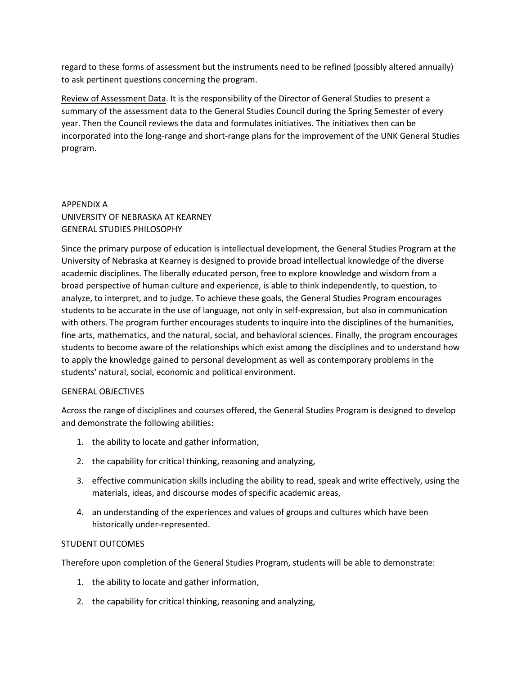regard to these forms of assessment but the instruments need to be refined (possibly altered annually) to ask pertinent questions concerning the program.

Review of Assessment Data. It is the responsibility of the Director of General Studies to present a summary of the assessment data to the General Studies Council during the Spring Semester of every year. Then the Council reviews the data and formulates initiatives. The initiatives then can be incorporated into the long-range and short-range plans for the improvement of the UNK General Studies program.

# APPENDIX A UNIVERSITY OF NEBRASKA AT KEARNEY GENERAL STUDIES PHILOSOPHY

Since the primary purpose of education is intellectual development, the General Studies Program at the University of Nebraska at Kearney is designed to provide broad intellectual knowledge of the diverse academic disciplines. The liberally educated person, free to explore knowledge and wisdom from a broad perspective of human culture and experience, is able to think independently, to question, to analyze, to interpret, and to judge. To achieve these goals, the General Studies Program encourages students to be accurate in the use of language, not only in self-expression, but also in communication with others. The program further encourages students to inquire into the disciplines of the humanities, fine arts, mathematics, and the natural, social, and behavioral sciences. Finally, the program encourages students to become aware of the relationships which exist among the disciplines and to understand how to apply the knowledge gained to personal development as well as contemporary problems in the students' natural, social, economic and political environment.

# GENERAL OBJECTIVES

Across the range of disciplines and courses offered, the General Studies Program is designed to develop and demonstrate the following abilities:

- 1. the ability to locate and gather information,
- 2. the capability for critical thinking, reasoning and analyzing,
- 3. effective communication skills including the ability to read, speak and write effectively, using the materials, ideas, and discourse modes of specific academic areas,
- 4. an understanding of the experiences and values of groups and cultures which have been historically under-represented.

# STUDENT OUTCOMES

Therefore upon completion of the General Studies Program, students will be able to demonstrate:

- 1. the ability to locate and gather information,
- 2. the capability for critical thinking, reasoning and analyzing,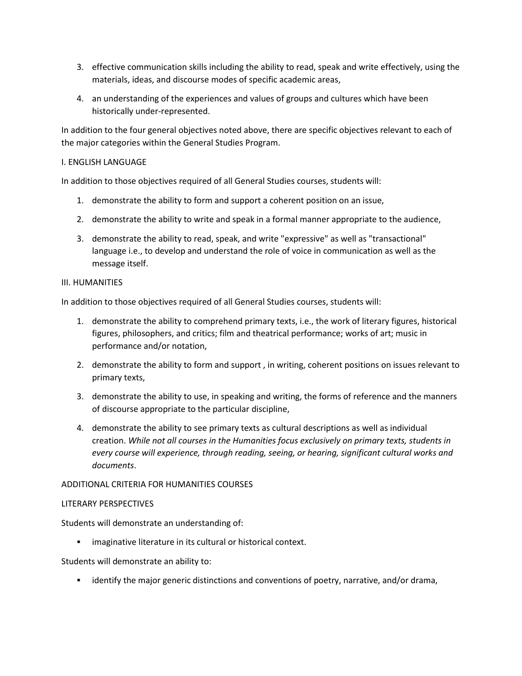- 3. effective communication skills including the ability to read, speak and write effectively, using the materials, ideas, and discourse modes of specific academic areas,
- 4. an understanding of the experiences and values of groups and cultures which have been historically under-represented.

In addition to the four general objectives noted above, there are specific objectives relevant to each of the major categories within the General Studies Program.

### I. ENGLISH LANGUAGE

In addition to those objectives required of all General Studies courses, students will:

- 1. demonstrate the ability to form and support a coherent position on an issue,
- 2. demonstrate the ability to write and speak in a formal manner appropriate to the audience,
- 3. demonstrate the ability to read, speak, and write "expressive" as well as "transactional" language i.e., to develop and understand the role of voice in communication as well as the message itself.

#### III. HUMANITIES

In addition to those objectives required of all General Studies courses, students will:

- 1. demonstrate the ability to comprehend primary texts, i.e., the work of literary figures, historical figures, philosophers, and critics; film and theatrical performance; works of art; music in performance and/or notation,
- 2. demonstrate the ability to form and support , in writing, coherent positions on issues relevant to primary texts,
- 3. demonstrate the ability to use, in speaking and writing, the forms of reference and the manners of discourse appropriate to the particular discipline,
- 4. demonstrate the ability to see primary texts as cultural descriptions as well as individual creation. *While not all courses in the Humanities focus exclusively on primary texts, students in every course will experience, through reading, seeing, or hearing, significant cultural works and documents*.

#### ADDITIONAL CRITERIA FOR HUMANITIES COURSES

#### LITERARY PERSPECTIVES

Students will demonstrate an understanding of:

**EXEDEE imaginative literature in its cultural or historical context.** 

Students will demonstrate an ability to:

identify the major generic distinctions and conventions of poetry, narrative, and/or drama,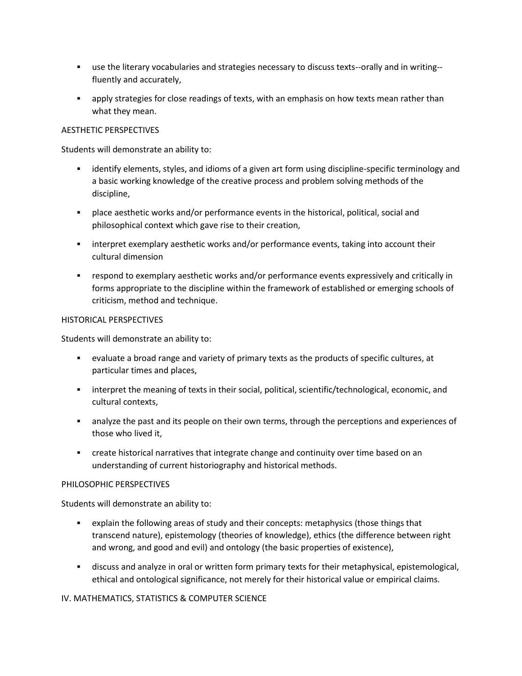- use the literary vocabularies and strategies necessary to discuss texts--orally and in writing- fluently and accurately,
- apply strategies for close readings of texts, with an emphasis on how texts mean rather than what they mean.

# AESTHETIC PERSPECTIVES

Students will demonstrate an ability to:

- identify elements, styles, and idioms of a given art form using discipline-specific terminology and a basic working knowledge of the creative process and problem solving methods of the discipline,
- place aesthetic works and/or performance events in the historical, political, social and philosophical context which gave rise to their creation,
- interpret exemplary aesthetic works and/or performance events, taking into account their cultural dimension
- respond to exemplary aesthetic works and/or performance events expressively and critically in forms appropriate to the discipline within the framework of established or emerging schools of criticism, method and technique.

# HISTORICAL PERSPECTIVES

Students will demonstrate an ability to:

- evaluate a broad range and variety of primary texts as the products of specific cultures, at particular times and places,
- interpret the meaning of texts in their social, political, scientific/technological, economic, and cultural contexts,
- analyze the past and its people on their own terms, through the perceptions and experiences of those who lived it,
- create historical narratives that integrate change and continuity over time based on an understanding of current historiography and historical methods.

# PHILOSOPHIC PERSPECTIVES

Students will demonstrate an ability to:

- explain the following areas of study and their concepts: metaphysics (those things that transcend nature), epistemology (theories of knowledge), ethics (the difference between right and wrong, and good and evil) and ontology (the basic properties of existence),
- discuss and analyze in oral or written form primary texts for their metaphysical, epistemological, ethical and ontological significance, not merely for their historical value or empirical claims.

IV. MATHEMATICS, STATISTICS & COMPUTER SCIENCE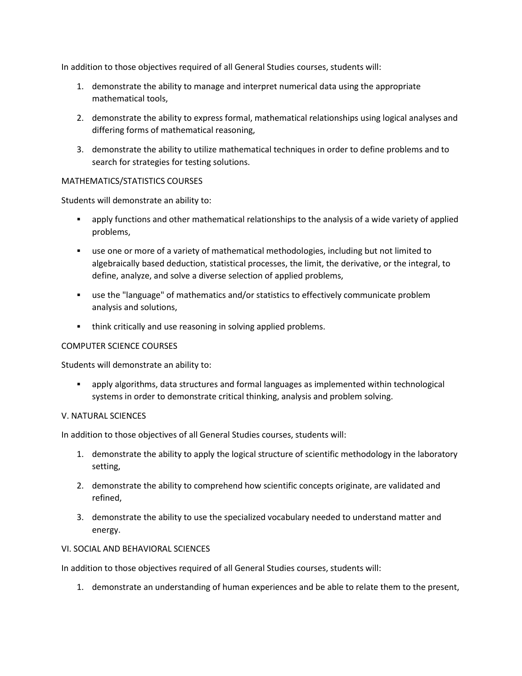In addition to those objectives required of all General Studies courses, students will:

- 1. demonstrate the ability to manage and interpret numerical data using the appropriate mathematical tools,
- 2. demonstrate the ability to express formal, mathematical relationships using logical analyses and differing forms of mathematical reasoning,
- 3. demonstrate the ability to utilize mathematical techniques in order to define problems and to search for strategies for testing solutions.

#### MATHEMATICS/STATISTICS COURSES

Students will demonstrate an ability to:

- apply functions and other mathematical relationships to the analysis of a wide variety of applied problems,
- use one or more of a variety of mathematical methodologies, including but not limited to algebraically based deduction, statistical processes, the limit, the derivative, or the integral, to define, analyze, and solve a diverse selection of applied problems,
- use the "language" of mathematics and/or statistics to effectively communicate problem analysis and solutions,
- think critically and use reasoning in solving applied problems.

# COMPUTER SCIENCE COURSES

Students will demonstrate an ability to:

 apply algorithms, data structures and formal languages as implemented within technological systems in order to demonstrate critical thinking, analysis and problem solving.

#### V. NATURAL SCIENCES

In addition to those objectives of all General Studies courses, students will:

- 1. demonstrate the ability to apply the logical structure of scientific methodology in the laboratory setting,
- 2. demonstrate the ability to comprehend how scientific concepts originate, are validated and refined,
- 3. demonstrate the ability to use the specialized vocabulary needed to understand matter and energy.

### VI. SOCIAL AND BEHAVIORAL SCIENCES

In addition to those objectives required of all General Studies courses, students will:

1. demonstrate an understanding of human experiences and be able to relate them to the present,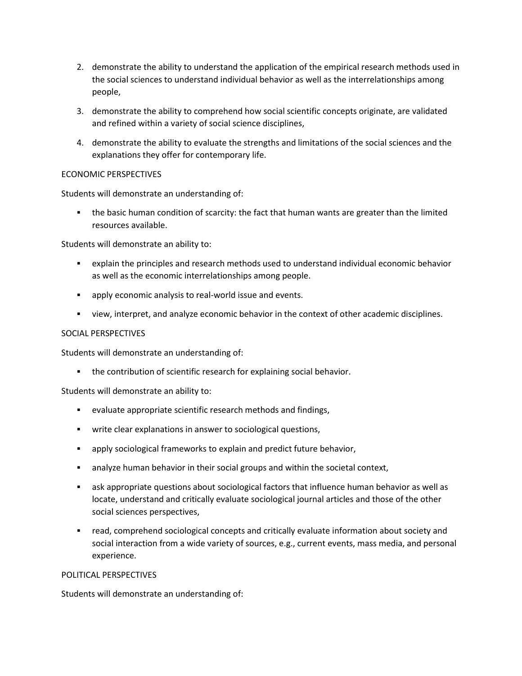- 2. demonstrate the ability to understand the application of the empirical research methods used in the social sciences to understand individual behavior as well as the interrelationships among people,
- 3. demonstrate the ability to comprehend how social scientific concepts originate, are validated and refined within a variety of social science disciplines,
- 4. demonstrate the ability to evaluate the strengths and limitations of the social sciences and the explanations they offer for contemporary life.

# ECONOMIC PERSPECTIVES

Students will demonstrate an understanding of:

 the basic human condition of scarcity: the fact that human wants are greater than the limited resources available.

Students will demonstrate an ability to:

- explain the principles and research methods used to understand individual economic behavior as well as the economic interrelationships among people.
- **•** apply economic analysis to real-world issue and events.
- view, interpret, and analyze economic behavior in the context of other academic disciplines.

#### SOCIAL PERSPECTIVES

Students will demonstrate an understanding of:

the contribution of scientific research for explaining social behavior.

Students will demonstrate an ability to:

- evaluate appropriate scientific research methods and findings,
- write clear explanations in answer to sociological questions,
- apply sociological frameworks to explain and predict future behavior,
- **EXED** analyze human behavior in their social groups and within the societal context,
- ask appropriate questions about sociological factors that influence human behavior as well as locate, understand and critically evaluate sociological journal articles and those of the other social sciences perspectives,
- read, comprehend sociological concepts and critically evaluate information about society and social interaction from a wide variety of sources, e.g., current events, mass media, and personal experience.

#### POLITICAL PERSPECTIVES

Students will demonstrate an understanding of: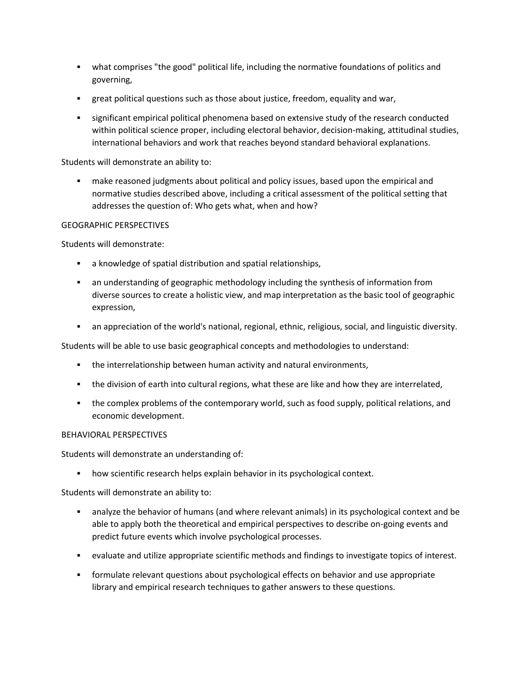- what comprises "the good" political life, including the normative foundations of politics and governing,
- great political questions such as those about justice, freedom, equality and war,
- significant empirical political phenomena based on extensive study of the research conducted within political science proper, including electoral behavior, decision-making, attitudinal studies, international behaviors and work that reaches beyond standard behavioral explanations.

Students will demonstrate an ability to:

 make reasoned judgments about political and policy issues, based upon the empirical and normative studies described above, including a critical assessment of the political setting that addresses the question of: Who gets what, when and how?

# GEOGRAPHIC PERSPECTIVES

Students will demonstrate:

- a knowledge of spatial distribution and spatial relationships,
- an understanding of geographic methodology including the synthesis of information from diverse sources to create a holistic view, and map interpretation as the basic tool of geographic expression,
- an appreciation of the world's national, regional, ethnic, religious, social, and linguistic diversity.

Students will be able to use basic geographical concepts and methodologies to understand:

- the interrelationship between human activity and natural environments,
- the division of earth into cultural regions, what these are like and how they are interrelated,
- the complex problems of the contemporary world, such as food supply, political relations, and economic development.

# BEHAVIORAL PERSPECTIVES

Students will demonstrate an understanding of:

how scientific research helps explain behavior in its psychological context.

Students will demonstrate an ability to:

- analyze the behavior of humans (and where relevant animals) in its psychological context and be able to apply both the theoretical and empirical perspectives to describe on-going events and predict future events which involve psychological processes.
- evaluate and utilize appropriate scientific methods and findings to investigate topics of interest.
- formulate relevant questions about psychological effects on behavior and use appropriate library and empirical research techniques to gather answers to these questions.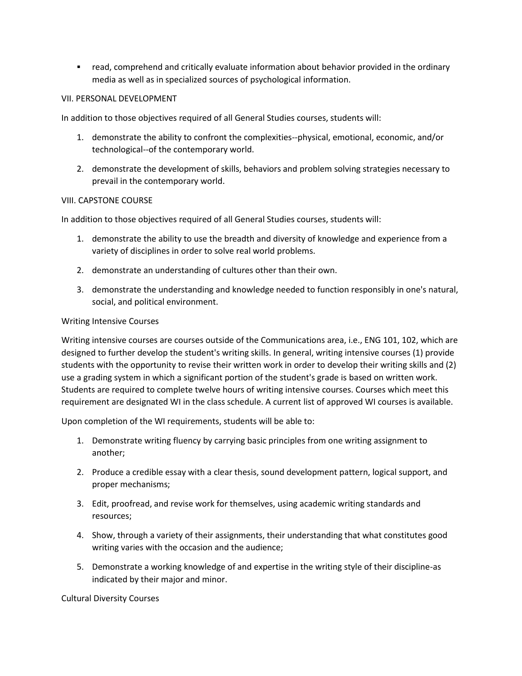read, comprehend and critically evaluate information about behavior provided in the ordinary media as well as in specialized sources of psychological information.

### VII. PERSONAL DEVELOPMENT

In addition to those objectives required of all General Studies courses, students will:

- 1. demonstrate the ability to confront the complexities--physical, emotional, economic, and/or technological--of the contemporary world.
- 2. demonstrate the development of skills, behaviors and problem solving strategies necessary to prevail in the contemporary world.

#### VIII. CAPSTONE COURSE

In addition to those objectives required of all General Studies courses, students will:

- 1. demonstrate the ability to use the breadth and diversity of knowledge and experience from a variety of disciplines in order to solve real world problems.
- 2. demonstrate an understanding of cultures other than their own.
- 3. demonstrate the understanding and knowledge needed to function responsibly in one's natural, social, and political environment.

#### Writing Intensive Courses

Writing intensive courses are courses outside of the Communications area, i.e., ENG 101, 102, which are designed to further develop the student's writing skills. In general, writing intensive courses (1) provide students with the opportunity to revise their written work in order to develop their writing skills and (2) use a grading system in which a significant portion of the student's grade is based on written work. Students are required to complete twelve hours of writing intensive courses. Courses which meet this requirement are designated WI in the class schedule. A current list of approved WI courses is available.

Upon completion of the WI requirements, students will be able to:

- 1. Demonstrate writing fluency by carrying basic principles from one writing assignment to another;
- 2. Produce a credible essay with a clear thesis, sound development pattern, logical support, and proper mechanisms;
- 3. Edit, proofread, and revise work for themselves, using academic writing standards and resources;
- 4. Show, through a variety of their assignments, their understanding that what constitutes good writing varies with the occasion and the audience;
- 5. Demonstrate a working knowledge of and expertise in the writing style of their discipline-as indicated by their major and minor.

Cultural Diversity Courses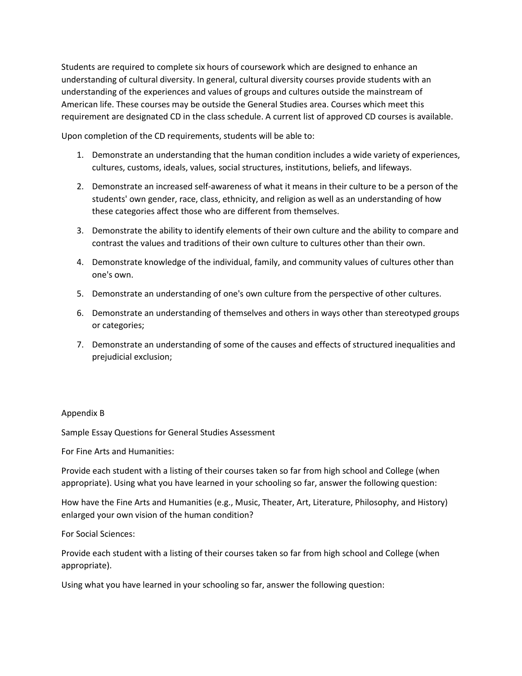Students are required to complete six hours of coursework which are designed to enhance an understanding of cultural diversity. In general, cultural diversity courses provide students with an understanding of the experiences and values of groups and cultures outside the mainstream of American life. These courses may be outside the General Studies area. Courses which meet this requirement are designated CD in the class schedule. A current list of approved CD courses is available.

Upon completion of the CD requirements, students will be able to:

- 1. Demonstrate an understanding that the human condition includes a wide variety of experiences, cultures, customs, ideals, values, social structures, institutions, beliefs, and lifeways.
- 2. Demonstrate an increased self-awareness of what it means in their culture to be a person of the students' own gender, race, class, ethnicity, and religion as well as an understanding of how these categories affect those who are different from themselves.
- 3. Demonstrate the ability to identify elements of their own culture and the ability to compare and contrast the values and traditions of their own culture to cultures other than their own.
- 4. Demonstrate knowledge of the individual, family, and community values of cultures other than one's own.
- 5. Demonstrate an understanding of one's own culture from the perspective of other cultures.
- 6. Demonstrate an understanding of themselves and others in ways other than stereotyped groups or categories;
- 7. Demonstrate an understanding of some of the causes and effects of structured inequalities and prejudicial exclusion;

# Appendix B

Sample Essay Questions for General Studies Assessment

For Fine Arts and Humanities:

Provide each student with a listing of their courses taken so far from high school and College (when appropriate). Using what you have learned in your schooling so far, answer the following question:

How have the Fine Arts and Humanities (e.g., Music, Theater, Art, Literature, Philosophy, and History) enlarged your own vision of the human condition?

For Social Sciences:

Provide each student with a listing of their courses taken so far from high school and College (when appropriate).

Using what you have learned in your schooling so far, answer the following question: